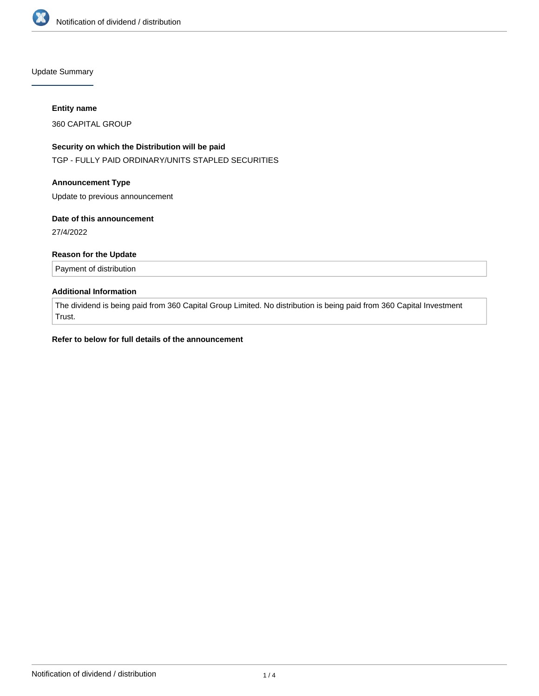

Update Summary

#### **Entity name**

360 CAPITAL GROUP

# **Security on which the Distribution will be paid**

TGP - FULLY PAID ORDINARY/UNITS STAPLED SECURITIES

#### **Announcement Type**

Update to previous announcement

#### **Date of this announcement**

27/4/2022

# **Reason for the Update**

Payment of distribution

# **Additional Information**

The dividend is being paid from 360 Capital Group Limited. No distribution is being paid from 360 Capital Investment Trust.

# **Refer to below for full details of the announcement**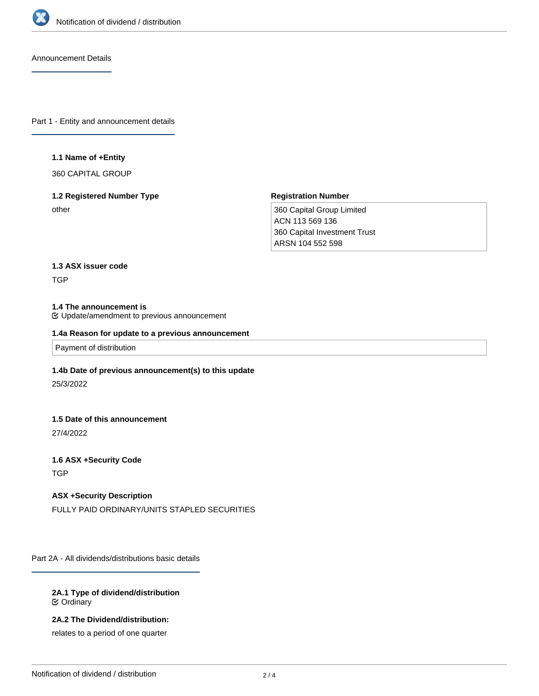

Announcement Details

Part 1 - Entity and announcement details

#### **1.1 Name of +Entity**

360 CAPITAL GROUP

# **1.2 Registered Number Type**

other

# **Registration Number**

360 Capital Group Limited ACN 113 569 136 360 Capital Investment Trust ARSN 104 552 598

# **1.3 ASX issuer code**

TGP

# **1.4 The announcement is**

Update/amendment to previous announcement

# **1.4a Reason for update to a previous announcement**

Payment of distribution

#### **1.4b Date of previous announcement(s) to this update**

25/3/2022

#### **1.5 Date of this announcement**

27/4/2022

# **1.6 ASX +Security Code**

**TGP** 

# **ASX +Security Description**

FULLY PAID ORDINARY/UNITS STAPLED SECURITIES

Part 2A - All dividends/distributions basic details

#### **2A.1 Type of dividend/distribution C** Ordinary

**2A.2 The Dividend/distribution:**

relates to a period of one quarter

**2A.3 The dividend/distribution relates to the financial reporting or payment period ending ended/ending (date)**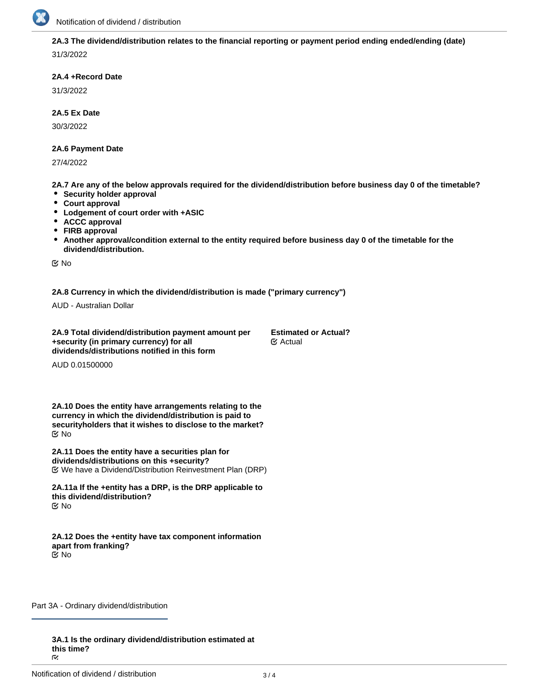

**2A.3 The dividend/distribution relates to the financial reporting or payment period ending ended/ending (date)**

31/3/2022

# **2A.4 +Record Date**

31/3/2022

# **2A.5 Ex Date**

30/3/2022

# **2A.6 Payment Date**

27/4/2022

**2A.7 Are any of the below approvals required for the dividend/distribution before business day 0 of the timetable?**

- **•** Security holder approval
- **Court approval**
- **Lodgement of court order with +ASIC**
- **ACCC approval**
- **FIRB approval**
- **Another approval/condition external to the entity required before business day 0 of the timetable for the dividend/distribution.**

No

# **2A.8 Currency in which the dividend/distribution is made ("primary currency")**

AUD - Australian Dollar

**2A.9 Total dividend/distribution payment amount per +security (in primary currency) for all dividends/distributions notified in this form Estimated or Actual?** Actual

AUD 0.01500000

**2A.10 Does the entity have arrangements relating to the currency in which the dividend/distribution is paid to securityholders that it wishes to disclose to the market?** No

**2A.11 Does the entity have a securities plan for dividends/distributions on this +security?** We have a Dividend/Distribution Reinvestment Plan (DRP)

**2A.11a If the +entity has a DRP, is the DRP applicable to this dividend/distribution? K** No

**2A.12 Does the +entity have tax component information apart from franking?** No

Part 3A - Ordinary dividend/distribution

**3A.1 Is the ordinary dividend/distribution estimated at this time?**